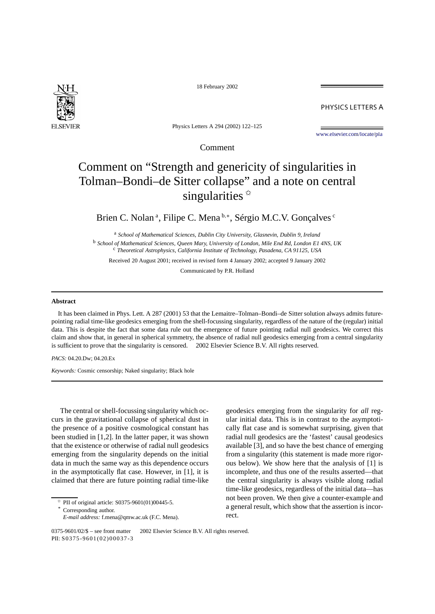

18 February 2002

PHYSICS LETTERS A

Physics Letters A 294 (2002) 122–125

[www.elsevier.com/locate/pla](http://www.elsevier.com/locate/pla)

Comment

## Comment on "Strength and genericity of singularities in Tolman–Bondi–de Sitter collapse" and a note on central singularities  $*$

Brien C. Nolan<sup>a</sup>, Filipe C. Mena<sup>b,∗</sup>, Sérgio M.C.V. Gonçalves <sup>c</sup>

<sup>a</sup> *School of Mathematical Sciences, Dublin City University, Glasnevin, Dublin 9, Ireland* <sup>b</sup> *School of Mathematical Sciences, Queen Mary, University of London, Mile End Rd, London E1 4NS, UK* <sup>c</sup> *Theoretical Astrophysics, California Institute of Technology, Pasadena, CA 91125, USA*

Received 20 August 2001; received in revised form 4 January 2002; accepted 9 January 2002

Communicated by P.R. Holland

## **Abstract**

It has been claimed in Phys. Lett. A 287 (2001) 53 that the Lemaitre–Tolman–Bondi–de Sitter solution always admits futurepointing radial time-like geodesics emerging from the shell-focussing singularity, regardless of the nature of the (regular) initial data. This is despite the fact that some data rule out the emergence of future pointing radial null geodesics. We correct this claim and show that, in general in spherical symmetry, the absence of radial null geodesics emerging from a central singularity is sufficient to prove that the singularity is censored.  $\odot$  2002 Elsevier Science B.V. All rights reserved.

*PACS:* 04.20.Dw; 04.20.Ex

*Keywords:* Cosmic censorship; Naked singularity; Black hole

The central or shell-focussing singularity which occurs in the gravitational collapse of spherical dust in the presence of a positive cosmological constant has been studied in [1,2]. In the latter paper, it was shown that the existence or otherwise of radial null geodesics emerging from the singularity depends on the initial data in much the same way as this dependence occurs in the asymptotically flat case. However, in [1], it is claimed that there are future pointing radial time-like

 $*$  PII of original article: S0375-9601(01)00445-5.

Corresponding author.

geodesics emerging from the singularity for *all* regular initial data. This is in contrast to the asymptotically flat case and is somewhat surprising, given that radial null geodesics are the 'fastest' causal geodesics available [3], and so have the best chance of emerging from a singularity (this statement is made more rigorous below). We show here that the analysis of [1] is incomplete, and thus one of the results asserted—that the central singularity is always visible along radial time-like geodesics, regardless of the initial data—has not been proven. We then give a counter-example and a general result, which show that the assertion is incorrect.

*E-mail address:* f.mena@qmw.ac.uk (F.C. Mena).

<sup>0375-9601/02/\$ –</sup> see front matter © 2002 Elsevier Science B.V. All rights reserved. PII: S0375-9601(02)00037-3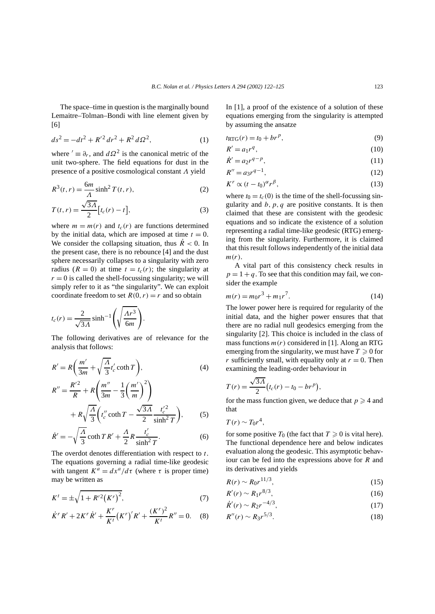The space–time in question is the marginally bound Lemaitre–Tolman–Bondi with line element given by [6]

$$
ds^2 = -dt^2 + R'^2 dr^2 + R^2 d\Omega^2,
$$
 (1)

where  $' \equiv \partial_r$ , and  $d\Omega^2$  is the canonical metric of the unit two-sphere. The field equations for dust in the presence of a positive cosmological constant *Λ* yield

$$
R3(t,r) = \frac{6m}{\Lambda} \sinh2 T(t,r),
$$
 (2)

$$
T(t,r) = \frac{\sqrt{3A}}{2} \left[ t_c(r) - t \right],\tag{3}
$$

where  $m = m(r)$  and  $t_c(r)$  are functions determined by the initial data, which are imposed at time  $t = 0$ . We consider the collapsing situation, thus  $\dot{R}$  < 0. In the present case, there is no rebounce [4] and the dust sphere necessarily collapses to a singularity with zero radius  $(R = 0)$  at time  $t = t_c(r)$ ; the singularity at  $r = 0$  is called the shell-focussing singularity; we will simply refer to it as "the singularity". We can exploit coordinate freedom to set  $R(0, r) = r$  and so obtain

$$
t_c(r) = \frac{2}{\sqrt{3\Lambda}} \sinh^{-1} \left( \sqrt{\frac{\Lambda r^3}{6m}} \right).
$$

The following derivatives are of relevance for the analysis that follows:

$$
R' = R\left(\frac{m'}{3m} + \sqrt{\frac{A}{3}}t'_{c} \coth T\right),
$$
  
\n
$$
R'' = \frac{R'^{2}}{R} + R\left(\frac{m''}{3m} - \frac{1}{3}\left(\frac{m'}{m}\right)^{2}\right)
$$
\n(4)

$$
+ R\sqrt{\frac{\Lambda}{3}} \left(t_c'' \coth T - \frac{\sqrt{3\Lambda}}{2} \frac{t_c'^2}{\sinh^2 T}\right), \tag{5}
$$

$$
\dot{R}' = -\sqrt{\frac{\Lambda}{3}} \coth TR' + \frac{\Lambda}{2} R \frac{t_c'}{\sinh^2 T}.
$$
 (6)

The overdot denotes differentiation with respect to *t*. The equations governing a radial time-like geodesic with tangent  $K^a = dx^a/d\tau$  (where  $\tau$  is proper time) may be written as

$$
K^{t} = \pm \sqrt{1 + R'^{2}(K^{r})^{2}},
$$
\n(7)

$$
\dot{K}^r R' + 2K^r \dot{R}' + \frac{K^r}{K^t} (K^r)' R' + \frac{(K^r)^2}{K^t} R'' = 0.
$$
 (8)

In [1], a proof of the existence of a solution of these equations emerging from the singularity is attempted by assuming the ansatze

$$
t_{\text{RTG}}(r) = t_0 + br^p,\tag{9}
$$

$$
R' = a_1 r^q,\tag{10}
$$

$$
\dot{R}' = a_2 r^{q-p},\tag{11}
$$

$$
R'' = a_3 r^{q-1},
$$
\n(12)

$$
K^r \propto (t - t_0)^{\alpha} r^{\beta},\tag{13}
$$

where  $t_0 = t_c(0)$  is the time of the shell-focussing singularity and  $b, p, q$  are positive constants. It is then claimed that these are consistent with the geodesic equations and so indicate the existence of a solution representing a radial time-like geodesic (RTG) emerging from the singularity. Furthermore, it is claimed that this result follows independently of the initial data *m(r)*.

A vital part of this consistency check results in  $p = 1 + q$ . To see that this condition may fail, we consider the example

$$
m(r) = m_0 r^3 + m_1 r^7.
$$
 (14)

The lower power here is required for regularity of the initial data, and the higher power ensures that that there are no radial null geodesics emerging from the singularity [2]. This choice is included in the class of mass functions  $m(r)$  considered in [1]. Along an RTG emerging from the singularity, we must have  $T \geq 0$  for *r* sufficiently small, with equality only at  $r = 0$ . Then examining the leading-order behaviour in

$$
T(r) = \frac{\sqrt{3A}}{2} (t_c(r) - t_0 - br^p),
$$

for the mass function given, we deduce that  $p \ge 4$  and that

$$
T(r)\sim T_0r^4,
$$

for some positive  $T_0$  (the fact that  $T \geq 0$  is vital here). The functional dependence here and below indicates evaluation along the geodesic. This asymptotic behaviour can be fed into the expressions above for *R* and its derivatives and yields

$$
R(r) \sim R_0 r^{11/3},\tag{15}
$$

$$
R'(r) \sim R_1 r^{8/3},\tag{16}
$$

$$
\dot{R}'(r) \sim R_2 r^{-4/3},\tag{17}
$$

$$
R''(r) \sim R_3 r^{5/3}.
$$
 (18)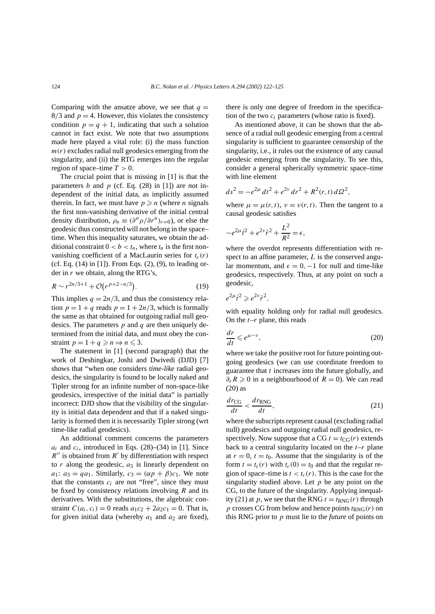Comparing with the ansatze above, we see that  $q =$  $8/3$  and  $p = 4$ . However, this violates the consistency condition  $p = q + 1$ , indicating that such a solution cannot in fact exist. We note that two assumptions made here played a vital role: (i) the mass function  $m(r)$  excludes radial null geodesics emerging from the singularity, and (ii) the RTG emerges into the regular region of space–time  $T > 0$ .

The crucial point that is missing in [1] is that the parameters *b* and *p* (cf. Eq. (28) in [1]) are *not* independent of the initial data, as implicitly assumed therein. In fact, we must have  $p \ge n$  (where *n* signals the first non-vanishing derivative of the initial central density distribution,  $\rho_n \equiv (\partial^n \rho / \partial r^n)_{r=0}$ , or else the geodesic thus constructed will not belong in the space– time. When this inequality saturates, we obtain the additional constraint  $0 < b < t_n$ , where  $t_n$  is the first nonvanishing coefficient of a MacLaurin series for  $t_c(r)$ (cf. Eq. (14) in [1]). From Eqs. (2), (9), to leading order in *r* we obtain, along the RTG's,

$$
R \sim r^{2n/3+1} + \mathcal{O}(r^{p+2-n/3}).\tag{19}
$$

This implies  $q = 2n/3$ , and thus the consistency relation  $p = 1 + q$  reads  $p = 1 + 2n/3$ , which is formally the same as that obtained for outgoing radial null geodesics. The parameters *p* and *q* are then uniquely determined from the initial data, and must obey the constraint  $p = 1 + q \ge n \Rightarrow n \le 3$ .

The statement in [1] (second paragraph) that the work of Deshingkar, Joshi and Dwivedi (DJD) [7] shows that "when one considers *time-like* radial geodesics, the singularity is found to be locally naked and Tipler strong for an infinite number of non-space-like geodesics, irrespective of the initial data" is partially incorrect: DJD show that the visibility of the singularity is initial data dependent and that if a naked singularity is formed then it is necessarily Tipler strong (wrt time-like radial geodesics).

An additional comment concerns the parameters  $a_i$  and  $c_i$ , introduced in Eqs. (28)–(34) in [1]. Since  $R''$  is obtained from  $R'$  by differentiation with respect to  $r$  along the geodesic,  $a_3$  is linearly dependent on *a*<sub>1</sub>: *a*<sub>3</sub> = *qa*<sub>1</sub>. Similarly, *c*<sub>3</sub> =  $(\alpha p + \beta)c_1$ . We note that the constants  $c_i$  are not "free", since they must be fixed by consistency relations involving *R* and its derivatives. With the substitutions, the algebraic constraint  $C(a_i, c_i) = 0$  reads  $a_1c_2 + 2a_2c_1 = 0$ . That is, for given initial data (whereby  $a_1$  and  $a_2$  are fixed), there is only one degree of freedom in the specification of the two *ci* parameters (whose ratio is fixed).

As mentioned above, it can be shown that the absence of a radial null geodesic emerging from a central singularity is sufficient to guarantee censorship of the singularity, i.e., it rules out the existence of any causal geodesic emerging from the singularity. To see this, consider a general spherically symmetric space–time with line element

$$
ds^{2} = -e^{2\mu} dt^{2} + e^{2\nu} dr^{2} + R^{2}(r, t) d\Omega^{2},
$$

where  $\mu = \mu(r, t)$ ,  $\nu = \nu(r, t)$ . Then the tangent to a causal geodesic satisfies

$$
-e^{2\mu}\dot{t}^2 + e^{2\nu}\dot{r}^2 + \frac{L^2}{R^2} = \epsilon,
$$

where the overdot represents differentiation with respect to an affine parameter, *L* is the conserved angular momentum, and  $\epsilon = 0, -1$  for null and time-like geodesics, respectively. Thus, at any point on such a geodesic,

$$
e^{2\mu}\dot{t}^2 \geqslant e^{2\nu}\dot{r}^2,
$$

with equality holding *only* for radial null geodesics. On the *t*–*r* plane, this reads

$$
\frac{dr}{dt} \leqslant e^{\mu - \nu},\tag{20}
$$

where we take the positive root for future pointing outgoing geodesics (we can use coordinate freedom to guarantee that *t* increases into the future globally, and  $\partial_r R \geq 0$  in a neighbourhood of  $R = 0$ ). We can read (20) as

$$
\frac{dr_{\text{CG}}}{dt} < \frac{dr_{\text{RNG}}}{dt},\tag{21}
$$

where the subscripts represent causal (excluding radial null) geodesics and outgoing radial null geodesics, respectively. Now suppose that a CG  $t = t_{CG}(r)$  extends back to a central singularity located on the  $t-r$  plane at  $r = 0$ ,  $t = t_0$ . Assume that the singularity is of the form  $t = t_c(r)$  with  $t_c(0) = t_0$  and that the regular region of space–time is  $t < t_c(r)$ . This is the case for the singularity studied above. Let  $p$  be any point on the CG, to the future of the singularity. Applying inequality (21) at *p*, we see that the RNG  $t = t_{RNG}(r)$  through *p* crosses CG from below and hence points  $t_{RNG}(r)$  on this RNG prior to *p* must lie to the *future* of points on